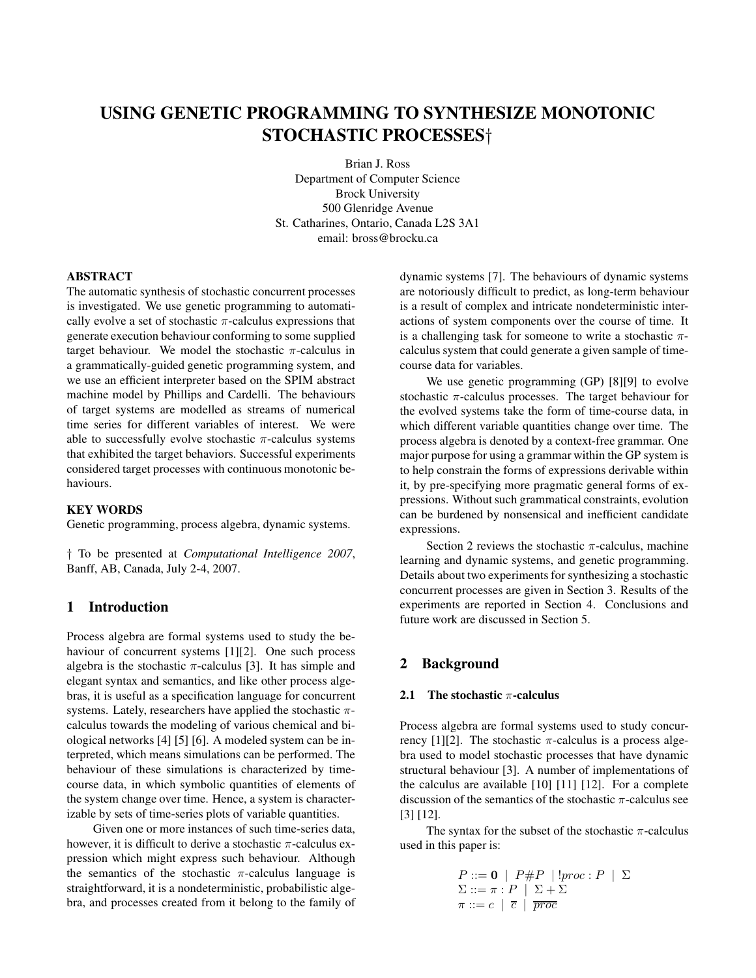# **USING GENETIC PROGRAMMING TO SYNTHESIZE MONOTONIC STOCHASTIC PROCESSES**†

Brian J. Ross Department of Computer Science Brock University 500 Glenridge Avenue St. Catharines, Ontario, Canada L2S 3A1 email: bross@brocku.ca

## **ABSTRACT**

The automatic synthesis of stochastic concurrent processes is investigated. We use genetic programming to automatically evolve a set of stochastic  $\pi$ -calculus expressions that generate execution behaviour conforming to some supplied target behaviour. We model the stochastic  $\pi$ -calculus in a grammatically-guided genetic programming system, and we use an efficient interpreter based on the SPIM abstract machine model by Phillips and Cardelli. The behaviours of target systems are modelled as streams of numerical time series for different variables of interest. We were able to successfully evolve stochastic  $\pi$ -calculus systems that exhibited the target behaviors. Successful experiments considered target processes with continuous monotonic behaviours.

# **KEY WORDS**

Genetic programming, process algebra, dynamic systems.

† To be presented at *Computational Intelligence 2007*, Banff, AB, Canada, July 2-4, 2007.

# **1 Introduction**

Process algebra are formal systems used to study the behaviour of concurrent systems [1][2]. One such process algebra is the stochastic  $\pi$ -calculus [3]. It has simple and elegant syntax and semantics, and like other process algebras, it is useful as a specification language for concurrent systems. Lately, researchers have applied the stochastic  $\pi$ calculus towards the modeling of various chemical and biological networks [4] [5] [6]. A modeled system can be interpreted, which means simulations can be performed. The behaviour of these simulations is characterized by timecourse data, in which symbolic quantities of elements of the system change over time. Hence, a system is characterizable by sets of time-series plots of variable quantities.

Given one or more instances of such time-series data, however, it is difficult to derive a stochastic  $\pi$ -calculus expression which might express such behaviour. Although the semantics of the stochastic  $\pi$ -calculus language is straightforward, it is a nondeterministic, probabilistic algebra, and processes created from it belong to the family of

dynamic systems [7]. The behaviours of dynamic systems are notoriously difficult to predict, as long-term behaviour is a result of complex and intricate nondeterministic interactions of system components over the course of time. It is a challenging task for someone to write a stochastic  $\pi$ calculus system that could generate a given sample of timecourse data for variables.

We use genetic programming (GP) [8][9] to evolve stochastic  $\pi$ -calculus processes. The target behaviour for the evolved systems take the form of time-course data, in which different variable quantities change over time. The process algebra is denoted by a context-free grammar. One major purpose for using a grammar within the GP system is to help constrain the forms of expressions derivable within it, by pre-specifying more pragmatic general forms of expressions. Without such grammatical constraints, evolution can be burdened by nonsensical and inefficient candidate expressions.

Section 2 reviews the stochastic  $\pi$ -calculus, machine learning and dynamic systems, and genetic programming. Details about two experiments for synthesizing a stochastic concurrent processes are given in Section 3. Results of the experiments are reported in Section 4. Conclusions and future work are discussed in Section 5.

# **2 Background**

## **2.1 The stochastic** π**-calculus**

Process algebra are formal systems used to study concurrency [1][2]. The stochastic π-calculus is a process algebra used to model stochastic processes that have dynamic structural behaviour [3]. A number of implementations of the calculus are available [10] [11] [12]. For a complete discussion of the semantics of the stochastic  $\pi$ -calculus see [3] [12].

The syntax for the subset of the stochastic  $\pi$ -calculus used in this paper is:

$$
P ::= \mathbf{0} \mid P \# P \mid !proc : P \mid \Sigma
$$
  

$$
\Sigma ::= \pi : P \mid \Sigma + \Sigma
$$
  

$$
\pi ::= c \mid \overline{c} \mid \overline{proc}
$$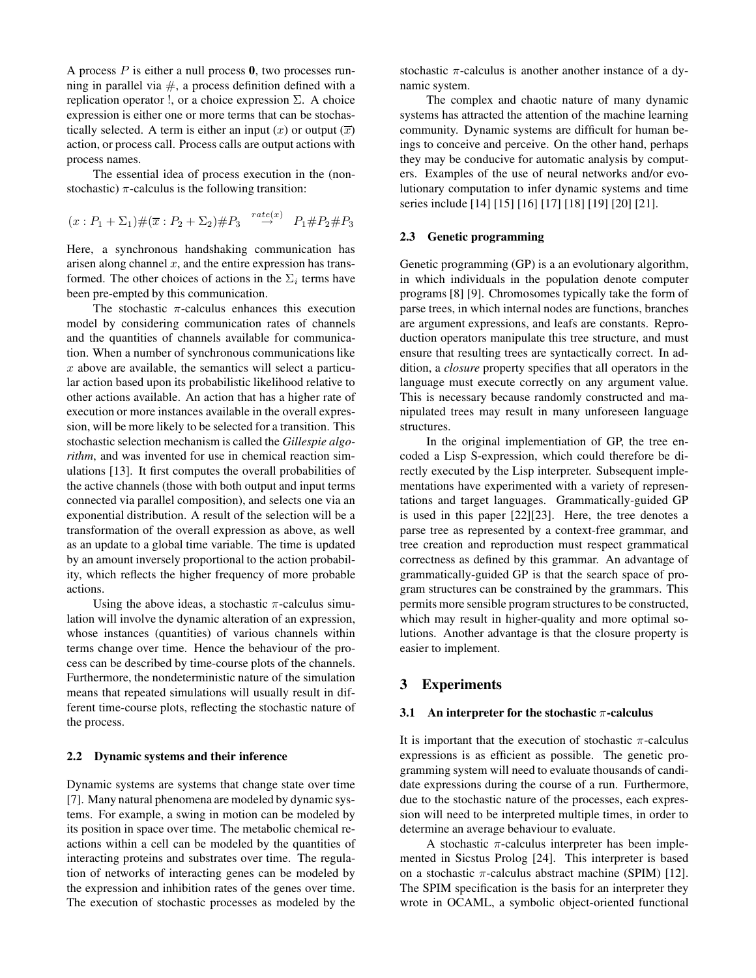A process P is either a null process **0**, two processes running in parallel via  $#$ , a process definition defined with a replication operator !, or a choice expression  $\Sigma$ . A choice expression is either one or more terms that can be stochastically selected. A term is either an input  $(x)$  or output  $(\overline{x})$ action, or process call. Process calls are output actions with process names.

The essential idea of process execution in the (nonstochastic)  $\pi$ -calculus is the following transition:

$$
(x:P_1+\Sigma_1)\#(\overline{x}:P_2+\Sigma_2)\#P_3 \stackrel{rate(x)}{\rightarrow} P_1\#P_2\#P_3
$$

Here, a synchronous handshaking communication has arisen along channel  $x$ , and the entire expression has transformed. The other choices of actions in the  $\Sigma_i$  terms have been pre-empted by this communication.

The stochastic  $\pi$ -calculus enhances this execution model by considering communication rates of channels and the quantities of channels available for communication. When a number of synchronous communications like  $x$  above are available, the semantics will select a particular action based upon its probabilistic likelihood relative to other actions available. An action that has a higher rate of execution or more instances available in the overall expression, will be more likely to be selected for a transition. This stochastic selection mechanism is called the *Gillespie algorithm*, and was invented for use in chemical reaction simulations [13]. It first computes the overall probabilities of the active channels (those with both output and input terms connected via parallel composition), and selects one via an exponential distribution. A result of the selection will be a transformation of the overall expression as above, as well as an update to a global time variable. The time is updated by an amount inversely proportional to the action probability, which reflects the higher frequency of more probable actions.

Using the above ideas, a stochastic  $\pi$ -calculus simulation will involve the dynamic alteration of an expression, whose instances (quantities) of various channels within terms change over time. Hence the behaviour of the process can be described by time-course plots of the channels. Furthermore, the nondeterministic nature of the simulation means that repeated simulations will usually result in different time-course plots, reflecting the stochastic nature of the process.

## **2.2 Dynamic systems and their inference**

Dynamic systems are systems that change state over time [7]. Many natural phenomena are modeled by dynamic systems. For example, a swing in motion can be modeled by its position in space over time. The metabolic chemical reactions within a cell can be modeled by the quantities of interacting proteins and substrates over time. The regulation of networks of interacting genes can be modeled by the expression and inhibition rates of the genes over time. The execution of stochastic processes as modeled by the

stochastic  $\pi$ -calculus is another another instance of a dynamic system.

The complex and chaotic nature of many dynamic systems has attracted the attention of the machine learning community. Dynamic systems are difficult for human beings to conceive and perceive. On the other hand, perhaps they may be conducive for automatic analysis by computers. Examples of the use of neural networks and/or evolutionary computation to infer dynamic systems and time series include [14] [15] [16] [17] [18] [19] [20] [21].

## **2.3 Genetic programming**

Genetic programming (GP) is a an evolutionary algorithm, in which individuals in the population denote computer programs [8] [9]. Chromosomes typically take the form of parse trees, in which internal nodes are functions, branches are argument expressions, and leafs are constants. Reproduction operators manipulate this tree structure, and must ensure that resulting trees are syntactically correct. In addition, a *closure* property specifies that all operators in the language must execute correctly on any argument value. This is necessary because randomly constructed and manipulated trees may result in many unforeseen language structures.

In the original implementiation of GP, the tree encoded a Lisp S-expression, which could therefore be directly executed by the Lisp interpreter. Subsequent implementations have experimented with a variety of representations and target languages. Grammatically-guided GP is used in this paper [22][23]. Here, the tree denotes a parse tree as represented by a context-free grammar, and tree creation and reproduction must respect grammatical correctness as defined by this grammar. An advantage of grammatically-guided GP is that the search space of program structures can be constrained by the grammars. This permits more sensible program structures to be constructed, which may result in higher-quality and more optimal solutions. Another advantage is that the closure property is easier to implement.

# **3 Experiments**

#### **3.1 An interpreter for the stochastic** π**-calculus**

It is important that the execution of stochastic  $\pi$ -calculus expressions is as efficient as possible. The genetic programming system will need to evaluate thousands of candidate expressions during the course of a run. Furthermore, due to the stochastic nature of the processes, each expression will need to be interpreted multiple times, in order to determine an average behaviour to evaluate.

A stochastic  $\pi$ -calculus interpreter has been implemented in Sicstus Prolog [24]. This interpreter is based on a stochastic  $\pi$ -calculus abstract machine (SPIM) [12]. The SPIM specification is the basis for an interpreter they wrote in OCAML, a symbolic object-oriented functional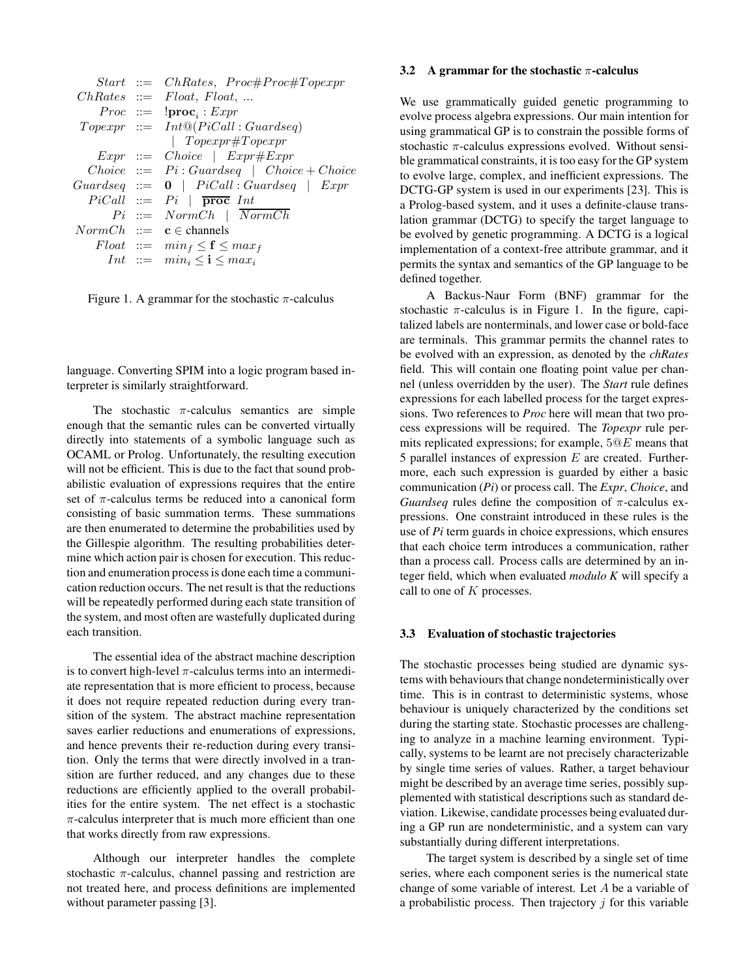| $Start ::= Ch Rates, Proc#Proc#Topexpr$           |
|---------------------------------------------------|
| $ChRates ::=$ $Float,$ $Float,$                   |
| $Proc ::=$ $!proc_i : Expr$                       |
| $To pexpr ::= Int@(PicCall : Guardseq)$           |
| $To pexpr#To pexpr$                               |
| $Expr$ ::= $Choice \mid Expr#Expr$                |
| $Choice := Pi: Guardseq   Choice + Choice$        |
| $Guardseq ::= 0$   $PicCall: Guardseq$   $Expr$   |
| $PiCall ::= Pi   \overline{proc} Int$             |
| $Pi$ ::= $NormCh$   $\overline{NormCh}$           |
| $NormCh \ ::= \ \mathbf{c} \in \mathsf{channels}$ |
| $Float ::= min_f \leq f \leq max_f$               |
| Int ::= $min_i \leq \mathbf{i} \leq max_i$        |
|                                                   |

Figure 1. A grammar for the stochastic  $\pi$ -calculus

language. Converting SPIM into a logic program based interpreter is similarly straightforward.

The stochastic  $\pi$ -calculus semantics are simple enough that the semantic rules can be converted virtually directly into statements of a symbolic language such as OCAML or Prolog. Unfortunately, the resulting execution will not be efficient. This is due to the fact that sound probabilistic evaluation of expressions requires that the entire set of  $\pi$ -calculus terms be reduced into a canonical form consisting of basic summation terms. These summations are then enumerated to determine the probabilities used by the Gillespie algorithm. The resulting probabilities determine which action pair is chosen for execution. This reduction and enumeration processis done each time a communication reduction occurs. The net result is that the reductions will be repeatedly performed during each state transition of the system, and most often are wastefully duplicated during each transition.

The essential idea of the abstract machine description is to convert high-level  $\pi$ -calculus terms into an intermediate representation that is more efficient to process, because it does not require repeated reduction during every transition of the system. The abstract machine representation saves earlier reductions and enumerations of expressions, and hence prevents their re-reduction during every transition. Only the terms that were directly involved in a transition are further reduced, and any changes due to these reductions are efficiently applied to the overall probabilities for the entire system. The net effect is a stochastic  $\pi$ -calculus interpreter that is much more efficient than one that works directly from raw expressions.

Although our interpreter handles the complete stochastic  $\pi$ -calculus, channel passing and restriction are not treated here, and process definitions are implemented without parameter passing [3].

#### **3.2 A grammar for the stochastic** π**-calculus**

We use grammatically guided genetic programming to evolve process algebra expressions. Our main intention for using grammatical GP is to constrain the possible forms of stochastic  $\pi$ -calculus expressions evolved. Without sensible grammatical constraints, it is too easy for the GP system to evolve large, complex, and inefficient expressions. The DCTG-GP system is used in our experiments [23]. This is a Prolog-based system, and it uses a definite-clause translation grammar (DCTG) to specify the target language to be evolved by genetic programming. A DCTG is a logical implementation of a context-free attribute grammar, and it permits the syntax and semantics of the GP language to be defined together.

A Backus-Naur Form (BNF) grammar for the stochastic  $\pi$ -calculus is in Figure 1. In the figure, capitalized labels are nonterminals, and lower case or bold-face are terminals. This grammar permits the channel rates to be evolved with an expression, as denoted by the *chRates* field. This will contain one floating point value per channel (unless overridden by the user). The *Start* rule defines expressions for each labelled process for the target expressions. Two references to *Proc* here will mean that two process expressions will be required. The *Topexpr* rule permits replicated expressions; for example, 5@E means that 5 parallel instances of expression  $E$  are created. Furthermore, each such expression is guarded by either a basic communication (*Pi*) or process call. The *Expr*, *Choice*, and *Guardseq* rules define the composition of π-calculus expressions. One constraint introduced in these rules is the use of *Pi* term guards in choice expressions, which ensures that each choice term introduces a communication, rather than a process call. Process calls are determined by an integer field, which when evaluated *modulo K* will specify a call to one of  $K$  processes.

#### **3.3 Evaluation of stochastic trajectories**

The stochastic processes being studied are dynamic systems with behaviours that change nondeterministically over time. This is in contrast to deterministic systems, whose behaviour is uniquely characterized by the conditions set during the starting state. Stochastic processes are challenging to analyze in a machine learning environment. Typically, systems to be learnt are not precisely characterizable by single time series of values. Rather, a target behaviour might be described by an average time series, possibly supplemented with statistical descriptions such as standard deviation. Likewise, candidate processes being evaluated during a GP run are nondeterministic, and a system can vary substantially during different interpretations.

The target system is described by a single set of time series, where each component series is the numerical state change of some variable of interest. Let A be a variable of a probabilistic process. Then trajectory  $j$  for this variable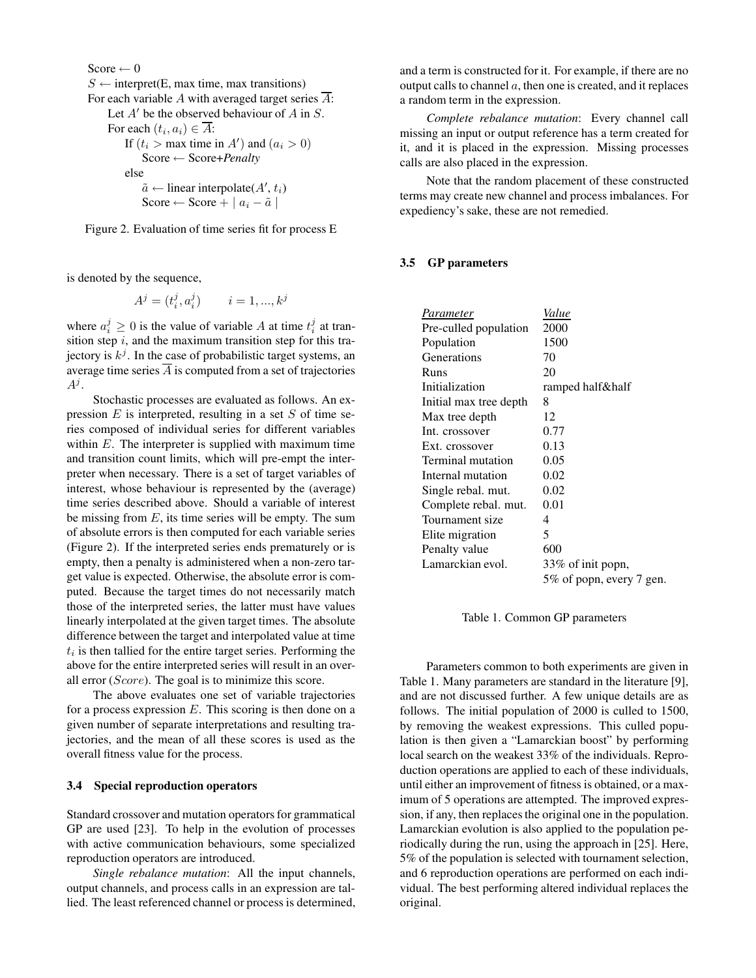```
Score \leftarrow 0
S \leftarrow interpret(E, max time, max transitions)
For each variable A with averaged target series \overline{A}:
    Let A' be the observed behaviour of A in S.
     For each (t_i, a_i) \in \overline{A}:
         If (t_i > \text{max time in } A') and (a_i > 0)Score ← Score+Penalty
         else
              \tilde{a} \leftarrow linear interpolate(A', t_i)
             Score ← Score + |a_i - \tilde{a}|
```
Figure 2. Evaluation of time series fit for process E

is denoted by the sequence,

$$
A^{j} = (t_{i}^{j}, a_{i}^{j}) \qquad i = 1, ..., k^{j}
$$

where  $a_i^j \geq 0$  is the value of variable A at time  $t_i^j$  at transition step  $i$ , and the maximum transition step for this trajectory is  $k^{j}$ . In the case of probabilistic target systems, an average time series  $\overline{A}$  is computed from a set of trajectories  $A^j.$ 

Stochastic processes are evaluated as follows. An expression  $E$  is interpreted, resulting in a set  $S$  of time series composed of individual series for different variables within  $E$ . The interpreter is supplied with maximum time and transition count limits, which will pre-empt the interpreter when necessary. There is a set of target variables of interest, whose behaviour is represented by the (average) time series described above. Should a variable of interest be missing from  $E$ , its time series will be empty. The sum of absolute errors is then computed for each variable series (Figure 2). If the interpreted series ends prematurely or is empty, then a penalty is administered when a non-zero target value is expected. Otherwise, the absolute error is computed. Because the target times do not necessarily match those of the interpreted series, the latter must have values linearly interpolated at the given target times. The absolute difference between the target and interpolated value at time  $t_i$  is then tallied for the entire target series. Performing the above for the entire interpreted series will result in an overall error (Score). The goal is to minimize this score.

The above evaluates one set of variable trajectories for a process expression  $E$ . This scoring is then done on a given number of separate interpretations and resulting trajectories, and the mean of all these scores is used as the overall fitness value for the process.

## **3.4 Special reproduction operators**

Standard crossover and mutation operators for grammatical GP are used [23]. To help in the evolution of processes with active communication behaviours, some specialized reproduction operators are introduced.

*Single rebalance mutation*: All the input channels, output channels, and process calls in an expression are tallied. The least referenced channel or process is determined,

and a term is constructed for it. For example, if there are no output calls to channel  $a$ , then one is created, and it replaces a random term in the expression.

*Complete rebalance mutation*: Every channel call missing an input or output reference has a term created for it, and it is placed in the expression. Missing processes calls are also placed in the expression.

Note that the random placement of these constructed terms may create new channel and process imbalances. For expediency's sake, these are not remedied.

## **3.5 GP parameters**

| Parameter              | Value                    |
|------------------------|--------------------------|
| Pre-culled population  | 2000                     |
| Population             | 1500                     |
| Generations            | 70                       |
| Runs                   | 20                       |
| Initialization         | ramped half½             |
| Initial max tree depth | 8                        |
| Max tree depth         | 12                       |
| Int. crossover         | 0.77                     |
| Ext. crossover         | 0.13                     |
| Terminal mutation      | 0.05                     |
| Internal mutation      | 0.02                     |
| Single rebal. mut.     | 0.02                     |
| Complete rebal. mut.   | 0.01                     |
| Tournament size        | 4                        |
| Elite migration        | 5                        |
| Penalty value          | 600                      |
| Lamarckian evol.       | 33% of init popn,        |
|                        | 5% of popn, every 7 gen. |
|                        |                          |

Table 1. Common GP parameters

Parameters common to both experiments are given in Table 1. Many parameters are standard in the literature [9], and are not discussed further. A few unique details are as follows. The initial population of 2000 is culled to 1500, by removing the weakest expressions. This culled population is then given a "Lamarckian boost" by performing local search on the weakest 33% of the individuals. Reproduction operations are applied to each of these individuals, until either an improvement of fitness is obtained, or a maximum of 5 operations are attempted. The improved expression, if any, then replaces the original one in the population. Lamarckian evolution is also applied to the population periodically during the run, using the approach in [25]. Here, 5% of the population is selected with tournament selection, and 6 reproduction operations are performed on each individual. The best performing altered individual replaces the original.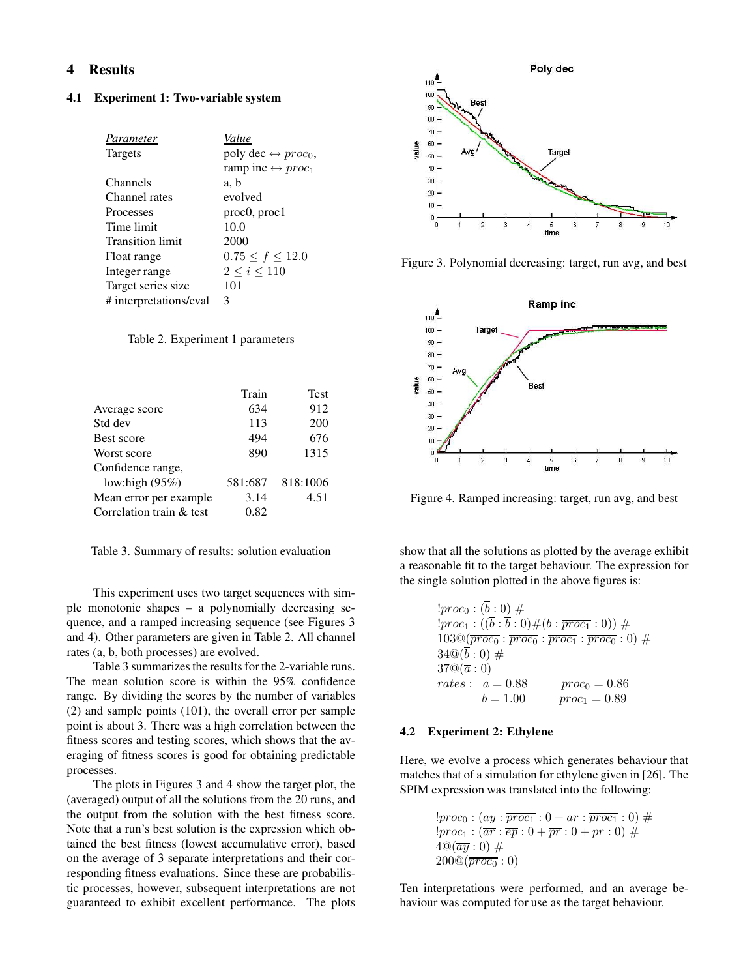# **4 Results**

#### **4.1 Experiment 1: Two-variable system**

| Parameter               | Value                               |
|-------------------------|-------------------------------------|
| <b>Targets</b>          | poly dec $\leftrightarrow proc_0$ , |
|                         | ramp inc $\leftrightarrow proc_1$   |
| Channels                | a, b                                |
| Channel rates           | evolved                             |
| Processes               | proc0, proc1                        |
| Time limit              | 10.0                                |
| <b>Transition limit</b> | 2000                                |
| Float range             | $0.75 \le f \le 12.0$               |
| Integer range           | $2 \leq i \leq 110$                 |
| Target series size      | 101                                 |
| # interpretations/eval  | 3                                   |
|                         |                                     |

Table 2. Experiment 1 parameters

|                          | Train   | <b>Test</b> |
|--------------------------|---------|-------------|
| Average score            | 634     | 912         |
| Std dev                  | 113     | 200         |
| Best score               | 494     | 676         |
| Worst score              | 890     | 1315        |
| Confidence range,        |         |             |
| low:high $(95%)$         | 581:687 | 818:1006    |
| Mean error per example   | 3.14    | 4.51        |
| Correlation train & test | 0.82    |             |

Table 3. Summary of results: solution evaluation

This experiment uses two target sequences with simple monotonic shapes – a polynomially decreasing sequence, and a ramped increasing sequence (see Figures 3 and 4). Other parameters are given in Table 2. All channel rates (a, b, both processes) are evolved.

Table 3 summarizes the results for the 2-variable runs. The mean solution score is within the 95% confidence range. By dividing the scores by the number of variables (2) and sample points (101), the overall error per sample point is about 3. There was a high correlation between the fitness scores and testing scores, which shows that the averaging of fitness scores is good for obtaining predictable processes.

The plots in Figures 3 and 4 show the target plot, the (averaged) output of all the solutions from the 20 runs, and the output from the solution with the best fitness score. Note that a run's best solution is the expression which obtained the best fitness (lowest accumulative error), based on the average of 3 separate interpretations and their corresponding fitness evaluations. Since these are probabilistic processes, however, subsequent interpretations are not guaranteed to exhibit excellent performance. The plots



Figure 3. Polynomial decreasing: target, run avg, and best



Figure 4. Ramped increasing: target, run avg, and best

show that all the solutions as plotted by the average exhibit a reasonable fit to the target behaviour. The expression for the single solution plotted in the above figures is:

$$
!proc_0 : (\overline{b} : 0) \# !proc_1 : ((\overline{b} : \overline{b} : 0) \# (b : \overline{proc_1} : 0)) \# 103@(\overline{proc_0} : \overline{proc_0} : \overline{proc_1} : \overline{proc_0} : 0) \# 34@(\overline{b} : 0) \# 37@(\overline{a} : 0) rates : a = 0.88 \qquad proc_0 = 0.86 b = 1.00 \qquad proc_1 = 0.89
$$

### **4.2 Experiment 2: Ethylene**

Here, we evolve a process which generates behaviour that matches that of a simulation for ethylene given in [26]. The SPIM expression was translated into the following:

$$
!proc0 : (ay : \overline{proc1} : 0 + ar : \overline{proc1} : 0) #
$$
  

$$
!proc1 : (\overline{ar} : \overline{ep} : 0 + \overline{pr} : 0 + pr : 0) #
$$
  

$$
4@(\overline{ay} : 0) #
$$
  

$$
200@(\overline{proc0} : 0)
$$

Ten interpretations were performed, and an average behaviour was computed for use as the target behaviour.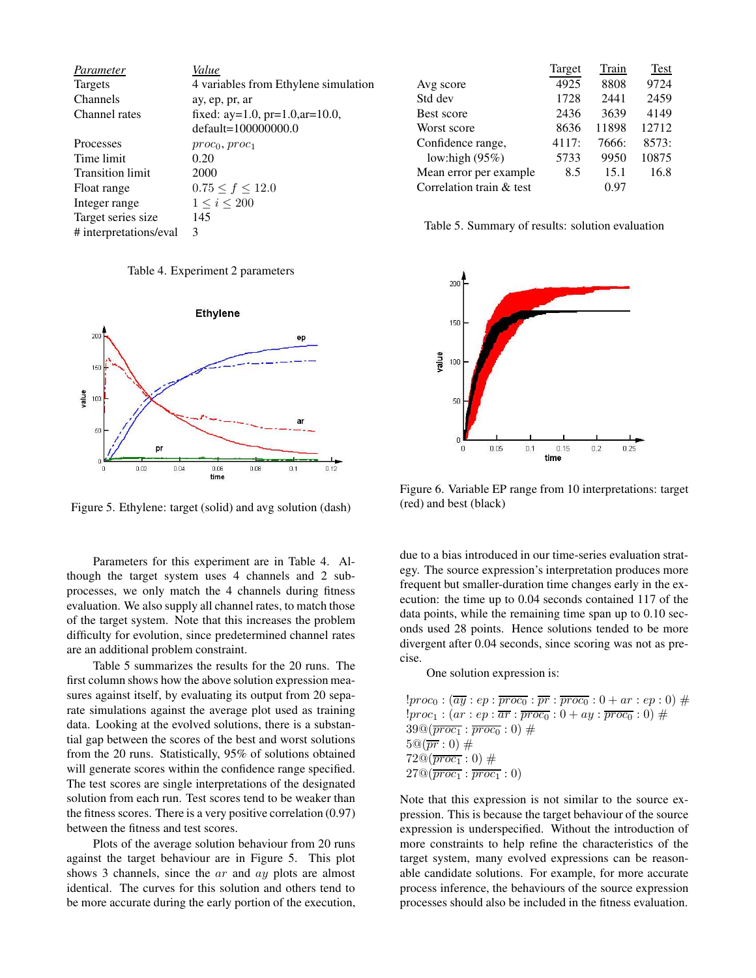| Parameter               | Value                                    |
|-------------------------|------------------------------------------|
| <b>Targets</b>          | 4 variables from Ethylene simulation     |
| Channels                | ay, ep, pr, ar                           |
| Channel rates           | fixed: $ay=1.0$ , $pr=1.0$ , $ar=10.0$ , |
|                         | $default=100000000.0$                    |
| Processes               | $proc_0, proc_1$                         |
| Time limit              | 0.20                                     |
| <b>Transition limit</b> | 2000                                     |
| Float range             | $0.75 \le f \le 12.0$                    |
| Integer range           | $1 \leq i \leq 200$                      |
| Target series size      | 145                                      |
| # interpretations/eval  | 3                                        |

Table 4. Experiment 2 parameters



Figure 5. Ethylene: target (solid) and avg solution (dash)

Parameters for this experiment are in Table 4. Although the target system uses 4 channels and 2 subprocesses, we only match the 4 channels during fitness evaluation. We also supply all channel rates, to match those of the target system. Note that this increases the problem difficulty for evolution, since predetermined channel rates are an additional problem constraint.

Table 5 summarizes the results for the 20 runs. The first column shows how the above solution expression measures against itself, by evaluating its output from 20 separate simulations against the average plot used as training data. Looking at the evolved solutions, there is a substantial gap between the scores of the best and worst solutions from the 20 runs. Statistically, 95% of solutions obtained will generate scores within the confidence range specified. The test scores are single interpretations of the designated solution from each run. Test scores tend to be weaker than the fitness scores. There is a very positive correlation (0.97) between the fitness and test scores.

Plots of the average solution behaviour from 20 runs against the target behaviour are in Figure 5. This plot shows 3 channels, since the *ar* and *ay* plots are almost identical. The curves for this solution and others tend to be more accurate during the early portion of the execution,

|                          | Target | Train | <b>Test</b> |
|--------------------------|--------|-------|-------------|
| Avg score                | 4925   | 8808  | 9724        |
| Std dev                  | 1728   | 2441  | 2459        |
| Best score               | 2436   | 3639  | 4149        |
| Worst score              | 8636   | 11898 | 12712       |
| Confidence range,        | 4117:  | 7666: | 8573:       |
| low:high $(95%)$         | 5733   | 9950  | 10875       |
| Mean error per example.  | 8.5    | 15.1  | 16.8        |
| Correlation train & test |        | 0 ዓ7  |             |

Table 5. Summary of results: solution evaluation



Figure 6. Variable EP range from 10 interpretations: target (red) and best (black)

due to a bias introduced in our time-series evaluation strategy. The source expression's interpretation produces more frequent but smaller-duration time changes early in the execution: the time up to 0.04 seconds contained 117 of the data points, while the remaining time span up to 0.10 seconds used 28 points. Hence solutions tended to be more divergent after 0.04 seconds, since scoring was not as precise.

One solution expression is:

 $!proc_0 : (\overline{ay} : ep : \overline{proc_0} : \overline{pr} : \overline{proc_0} : 0 + ar : ep : 0) \#$  $!proc_1 : (ar : ep : \overline{ar : proc_0} : 0 + ay : \overline{proc_0} : 0) \#$  $39@(\overline{proc_1} : \overline{proc_0} : 0) \neq$  $5@(\overline{pr}:0) \#$  $72@(\overline{proc_1} : 0) \#$  $27@(\overline{proc_1} : \overline{proc_1} : 0)$ 

Note that this expression is not similar to the source expression. This is because the target behaviour of the source expression is underspecified. Without the introduction of more constraints to help refine the characteristics of the target system, many evolved expressions can be reasonable candidate solutions. For example, for more accurate process inference, the behaviours of the source expression processes should also be included in the fitness evaluation.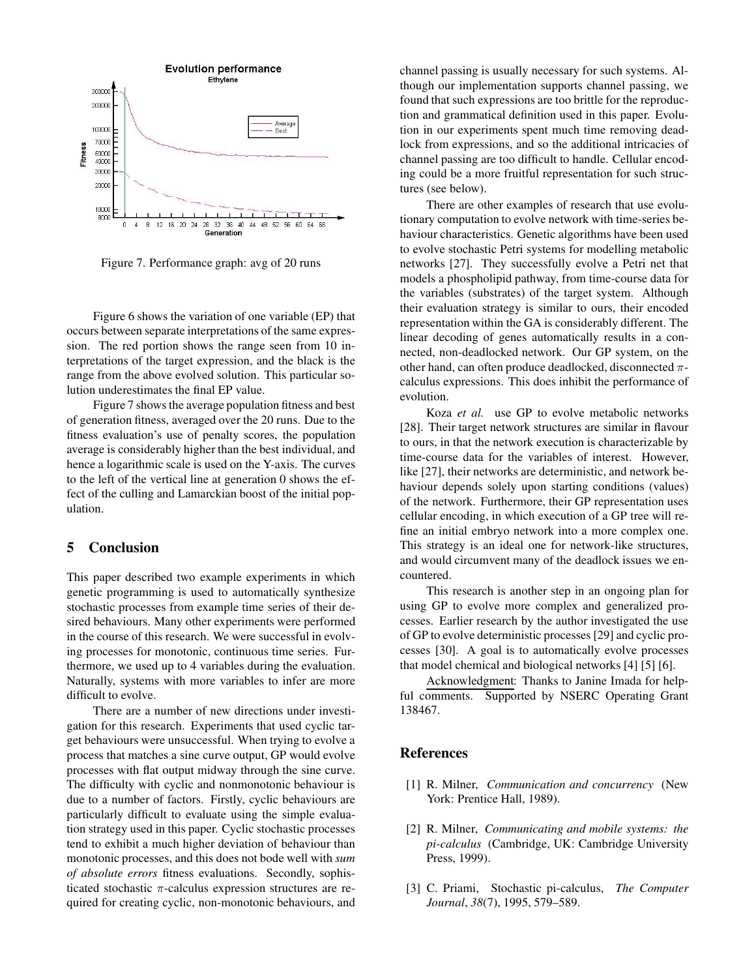

Figure 7. Performance graph: avg of 20 runs

Figure 6 shows the variation of one variable (EP) that occurs between separate interpretations of the same expression. The red portion shows the range seen from 10 interpretations of the target expression, and the black is the range from the above evolved solution. This particular solution underestimates the final EP value.

Figure 7 shows the average population fitness and best of generation fitness, averaged over the 20 runs. Due to the fitness evaluation's use of penalty scores, the population average is considerably higher than the best individual, and hence a logarithmic scale is used on the Y-axis. The curves to the left of the vertical line at generation 0 shows the effect of the culling and Lamarckian boost of the initial population.

# **5 Conclusion**

This paper described two example experiments in which genetic programming is used to automatically synthesize stochastic processes from example time series of their desired behaviours. Many other experiments were performed in the course of this research. We were successful in evolving processes for monotonic, continuous time series. Furthermore, we used up to 4 variables during the evaluation. Naturally, systems with more variables to infer are more difficult to evolve.

There are a number of new directions under investigation for this research. Experiments that used cyclic target behaviours were unsuccessful. When trying to evolve a process that matches a sine curve output, GP would evolve processes with flat output midway through the sine curve. The difficulty with cyclic and nonmonotonic behaviour is due to a number of factors. Firstly, cyclic behaviours are particularly difficult to evaluate using the simple evaluation strategy used in this paper. Cyclic stochastic processes tend to exhibit a much higher deviation of behaviour than monotonic processes, and this does not bode well with *sum of absolute errors* fitness evaluations. Secondly, sophisticated stochastic  $\pi$ -calculus expression structures are required for creating cyclic, non-monotonic behaviours, and channel passing is usually necessary for such systems. Although our implementation supports channel passing, we found that such expressions are too brittle for the reproduction and grammatical definition used in this paper. Evolution in our experiments spent much time removing deadlock from expressions, and so the additional intricacies of channel passing are too difficult to handle. Cellular encoding could be a more fruitful representation for such structures (see below).

There are other examples of research that use evolutionary computation to evolve network with time-series behaviour characteristics. Genetic algorithms have been used to evolve stochastic Petri systems for modelling metabolic networks [27]. They successfully evolve a Petri net that models a phospholipid pathway, from time-course data for the variables (substrates) of the target system. Although their evaluation strategy is similar to ours, their encoded representation within the GA is considerably different. The linear decoding of genes automatically results in a connected, non-deadlocked network. Our GP system, on the other hand, can often produce deadlocked, disconnected  $\pi$ calculus expressions. This does inhibit the performance of evolution.

Koza *et al.* use GP to evolve metabolic networks [28]. Their target network structures are similar in flavour to ours, in that the network execution is characterizable by time-course data for the variables of interest. However, like [27], their networks are deterministic, and network behaviour depends solely upon starting conditions (values) of the network. Furthermore, their GP representation uses cellular encoding, in which execution of a GP tree will refine an initial embryo network into a more complex one. This strategy is an ideal one for network-like structures, and would circumvent many of the deadlock issues we encountered.

This research is another step in an ongoing plan for using GP to evolve more complex and generalized processes. Earlier research by the author investigated the use of GP to evolve deterministic processes [29] and cyclic processes [30]. A goal is to automatically evolve processes that model chemical and biological networks [4] [5] [6].

Acknowledgment: Thanks to Janine Imada for helpful comments. Supported by NSERC Operating Grant 138467.

# **References**

- [1] R. Milner, *Communication and concurrency* (New York: Prentice Hall, 1989).
- [2] R. Milner, *Communicating and mobile systems: the pi-calculus* (Cambridge, UK: Cambridge University Press, 1999).
- [3] C. Priami, Stochastic pi-calculus, *The Computer Journal*, *38*(7), 1995, 579–589.